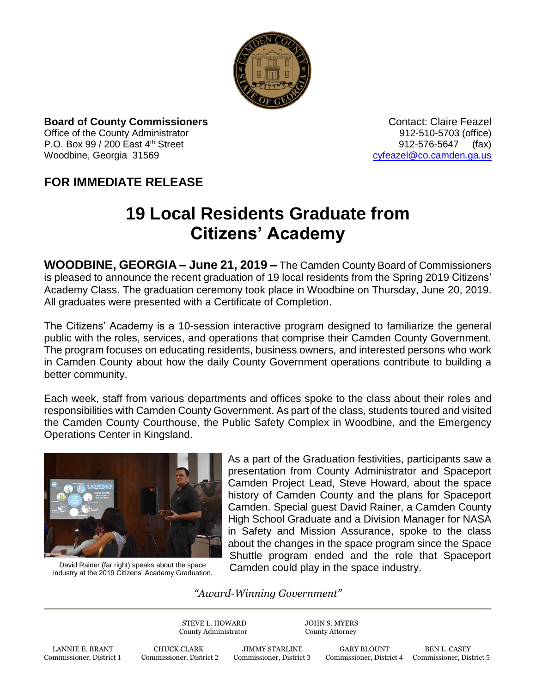

**Board of County Commissioners Contact: Claire Feazel Contact: Claire Feazel** Office of the County Administrator 912-510-5703 (office)

P.O. Box 99 / 200 East 4<sup>th</sup> Street 912-576-5647 (fax) Woodbine, Georgia 31569 [cyfeazel@co.camden.ga.us](mailto:cyfeazel@co.camden.ga.us)

## **FOR IMMEDIATE RELEASE**

## **19 Local Residents Graduate from Citizens' Academy**

**WOODBINE, GEORGIA – June 21, 2019 –** The Camden County Board of Commissioners is pleased to announce the recent graduation of 19 local residents from the Spring 2019 Citizens' Academy Class. The graduation ceremony took place in Woodbine on Thursday, June 20, 2019. All graduates were presented with a Certificate of Completion.

The Citizens' Academy is a 10-session interactive program designed to familiarize the general public with the roles, services, and operations that comprise their Camden County Government. The program focuses on educating residents, business owners, and interested persons who work in Camden County about how the daily County Government operations contribute to building a better community.

Each week, staff from various departments and offices spoke to the class about their roles and responsibilities with Camden County Government. As part of the class, students toured and visited the Camden County Courthouse, the Public Safety Complex in Woodbine, and the Emergency Operations Center in Kingsland.



David Rainer (far right) speaks about the space industry at the 2019 Citizens' Academy Graduation.

As a part of the Graduation festivities, participants saw a presentation from County Administrator and Spaceport Camden Project Lead, Steve Howard, about the space history of Camden County and the plans for Spaceport Camden. Special guest David Rainer, a Camden County High School Graduate and a Division Manager for NASA in Safety and Mission Assurance, spoke to the class about the changes in the space program since the Space Shuttle program ended and the role that Spaceport Camden could play in the space industry.

## *"Award-Winning Government"*

STEVE L. HOWARD JOHN S. MYERS County Administrator County Attorney

LANNIE E. BRANT CHUCK CLARK JIMMY STARLINE GARY BLOUNT BEN L. CASEY Commissioner, District 1 Commissioner, District 2 Commissioner, District 3 Commissioner, District 4 Commissioner, District 1

Commissioner, District 4 Commissioner, District 5